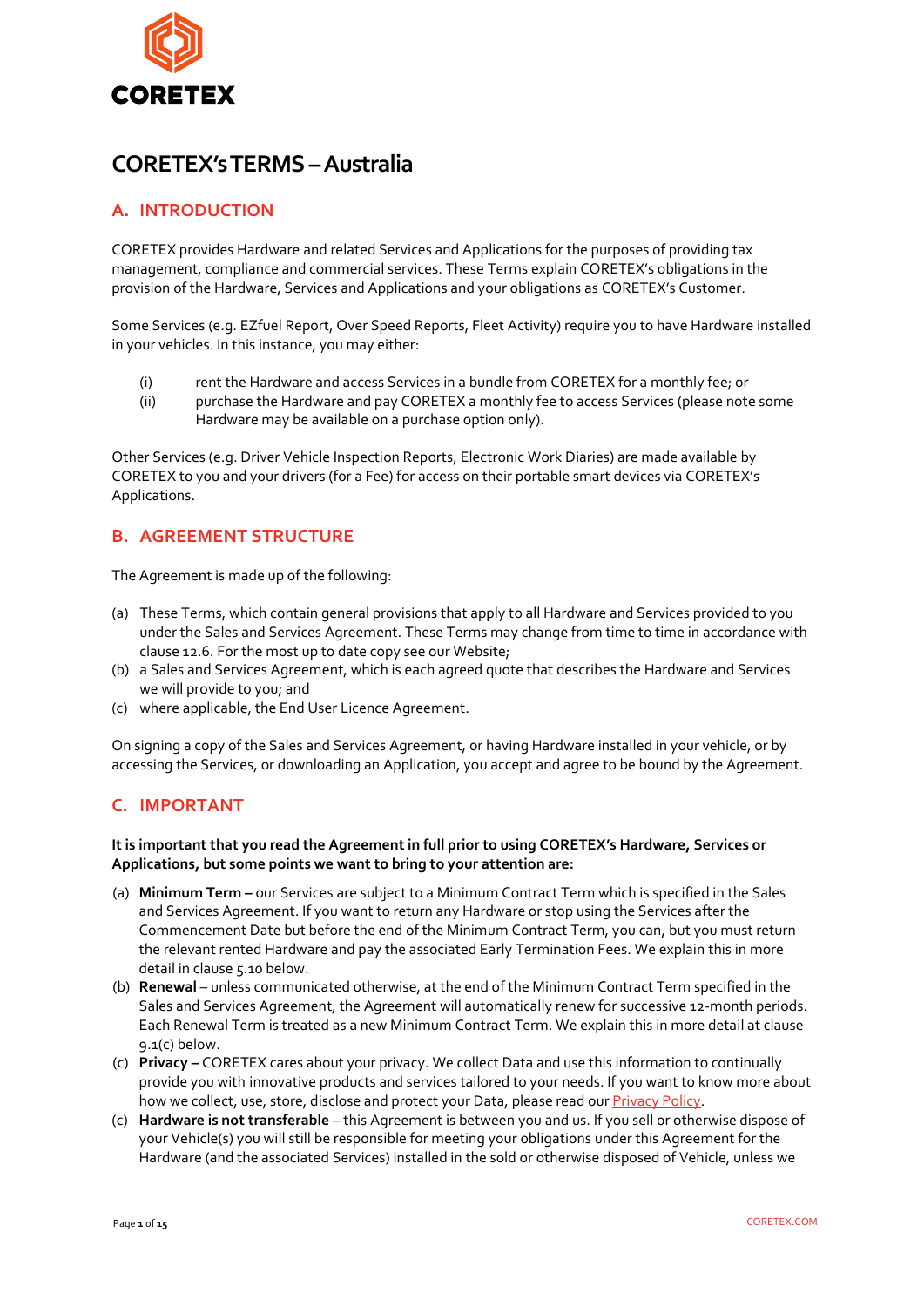

# **CORETEX's TERMS – Australia**

# **A. INTRODUCTION**

CORETEX provides Hardware and related Services and Applications for the purposes of providing tax management, compliance and commercial services. These Terms explain CORETEX's obligations in the provision of the Hardware, Services and Applications and your obligations as CORETEX's Customer.

Some Services (e.g. EZfuel Report, Over Speed Reports, Fleet Activity) require you to have Hardware installed in your vehicles. In this instance, you may either:

- (i) rent the Hardware and access Services in a bundle from CORETEX for a monthly fee; or
- (ii) purchase the Hardware and pay CORETEX a monthly fee to access Services (please note some Hardware may be available on a purchase option only).

Other Services (e.g. Driver Vehicle Inspection Reports, Electronic Work Diaries) are made available by CORETEX to you and your drivers (for a Fee) for access on their portable smart devices via CORETEX's Applications.

# **B. AGREEMENT STRUCTURE**

The Agreement is made up of the following:

- (a) These Terms, which contain general provisions that apply to all Hardware and Services provided to you under the Sales and Services Agreement. These Terms may change from time to time in accordance with clause [12.6.](#page-13-0) For the most up to date copy see our Website;
- (b) a Sales and Services Agreement, which is each agreed quote that describes the Hardware and Services we will provide to you; and
- (c) where applicable, the End User Licence Agreement.

On signing a copy of the Sales and Services Agreement, or having Hardware installed in your vehicle, or by accessing the Services, or downloading an Application, you accept and agree to be bound by the Agreement.

# **C. IMPORTANT**

### **It is important that you read the Agreement in full prior to using CORETEX's Hardware, Services or Applications, but some points we want to bring to your attention are:**

- (a) **Minimum Term** our Services are subject to a Minimum Contract Term which is specified in the Sales and Services Agreement. If you want to return any Hardware or stop using the Services after the Commencement Date but before the end of the Minimum Contract Term, you can, but you must return the relevant rented Hardware and pay the associated Early Termination Fees. We explain this in more detail in claus[e 5.10](#page-8-0) below.
- (b) **Renewal** unless communicated otherwise, at the end of the Minimum Contract Term specified in the Sales and Services Agreement, the Agreement will automatically renew for successive 12-month periods. Each Renewal Term is treated as a new Minimum Contract Term. We explain this in more detail at clause [9.1\(c\)](#page-10-0) below.
- (c) **Privacy** CORETEX cares about your privacy. We collect Data and use this information to continually provide you with innovative products and services tailored to your needs. If you want to know more about how we collect, use, store, disclose and protect your Data, please read our [Privacy Policy.](http://www.eroad.com.au/privacy-policy)
- (c) **Hardware is not transferable** this Agreement is between you and us. If you sell or otherwise dispose of your Vehicle(s) you will still be responsible for meeting your obligations under this Agreement for the Hardware (and the associated Services) installed in the sold or otherwise disposed of Vehicle, unless we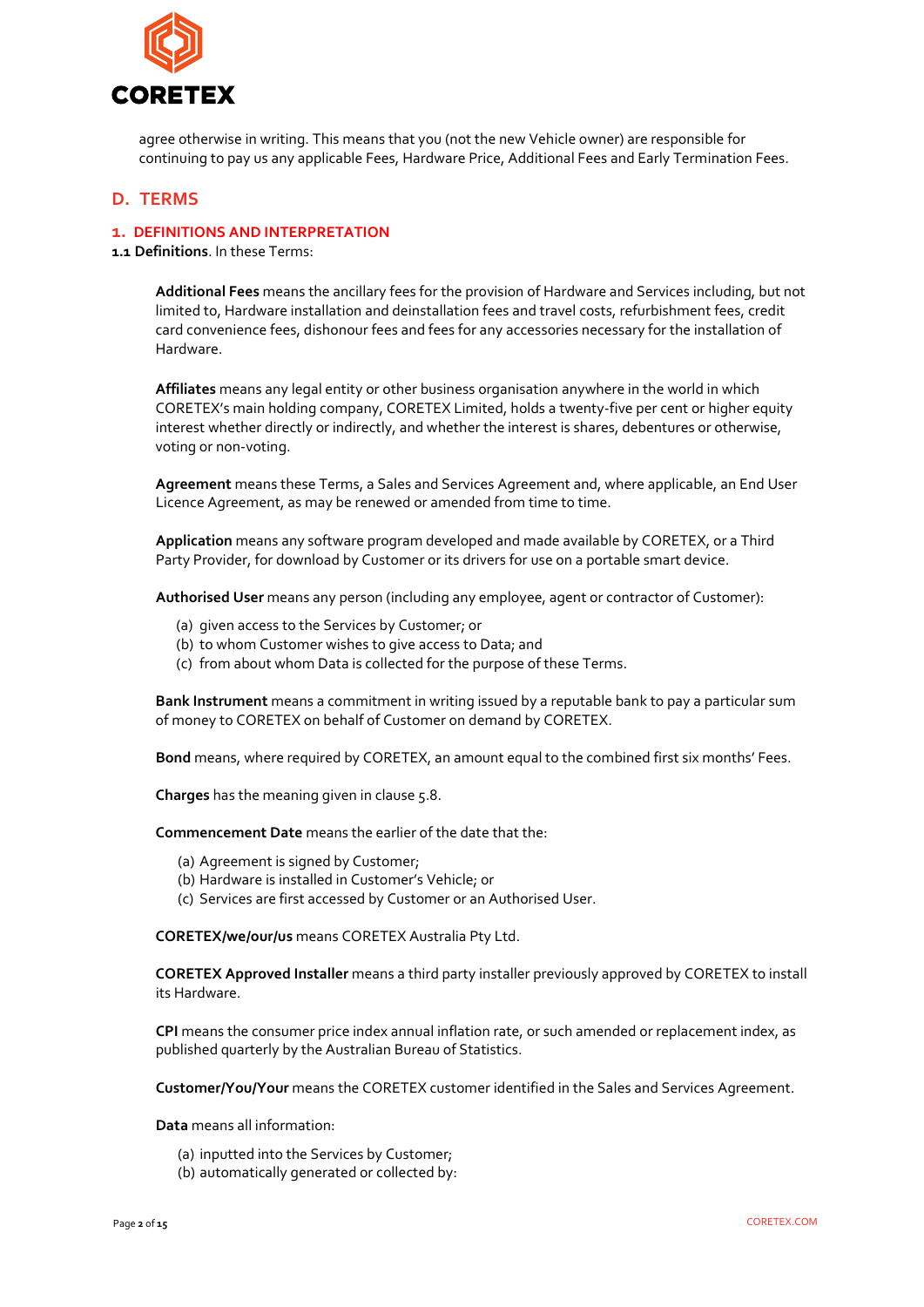

agree otherwise in writing. This means that you (not the new Vehicle owner) are responsible for continuing to pay us any applicable Fees, Hardware Price, Additional Fees and Early Termination Fees.

### **D. TERMS**

### **1. DEFINITIONS AND INTERPRETATION**

**1.1 Definitions**. In these Terms:

**Additional Fees** means the ancillary fees for the provision of Hardware and Services including, but not limited to, Hardware installation and deinstallation fees and travel costs, refurbishment fees, credit card convenience fees, dishonour fees and fees for any accessories necessary for the installation of Hardware.

**Affiliates** means any legal entity or other business organisation anywhere in the world in which CORETEX's main holding company, CORETEX Limited, holds a twenty-five per cent or higher equity interest whether directly or indirectly, and whether the interest is shares, debentures or otherwise, voting or non-voting.

**Agreement** means these Terms, a Sales and Services Agreement and, where applicable, an End User Licence Agreement, as may be renewed or amended from time to time.

**Application** means any software program developed and made available by CORETEX, or a Third Party Provider, for download by Customer or its drivers for use on a portable smart device.

**Authorised User** means any person (including any employee, agent or contractor of Customer):

- (a) given access to the Services by Customer; or
- (b) to whom Customer wishes to give access to Data; and
- (c) from about whom Data is collected for the purpose of these Terms.

**Bank Instrument** means a commitment in writing issued by a reputable bank to pay a particular sum of money to CORETEX on behalf of Customer on demand by CORETEX.

**Bond** means, where required by CORETEX, an amount equal to the combined first six months' Fees.

**Charges** has the meaning given in claus[e 5.8.](#page-7-0)

**Commencement Date** means the earlier of the date that the:

- (a) Agreement is signed by Customer;
- (b) Hardware is installed in Customer's Vehicle; or
- (c) Services are first accessed by Customer or an Authorised User.

**CORETEX/we/our/us** means CORETEX Australia Pty Ltd.

**CORETEX Approved Installer** means a third party installer previously approved by CORETEX to install its Hardware.

**CPI** means the consumer price index annual inflation rate, or such amended or replacement index, as published quarterly by the Australian Bureau of Statistics.

**Customer/You/Your** means the CORETEX customer identified in the Sales and Services Agreement.

**Data** means all information:

- (a) inputted into the Services by Customer;
- (b) automatically generated or collected by: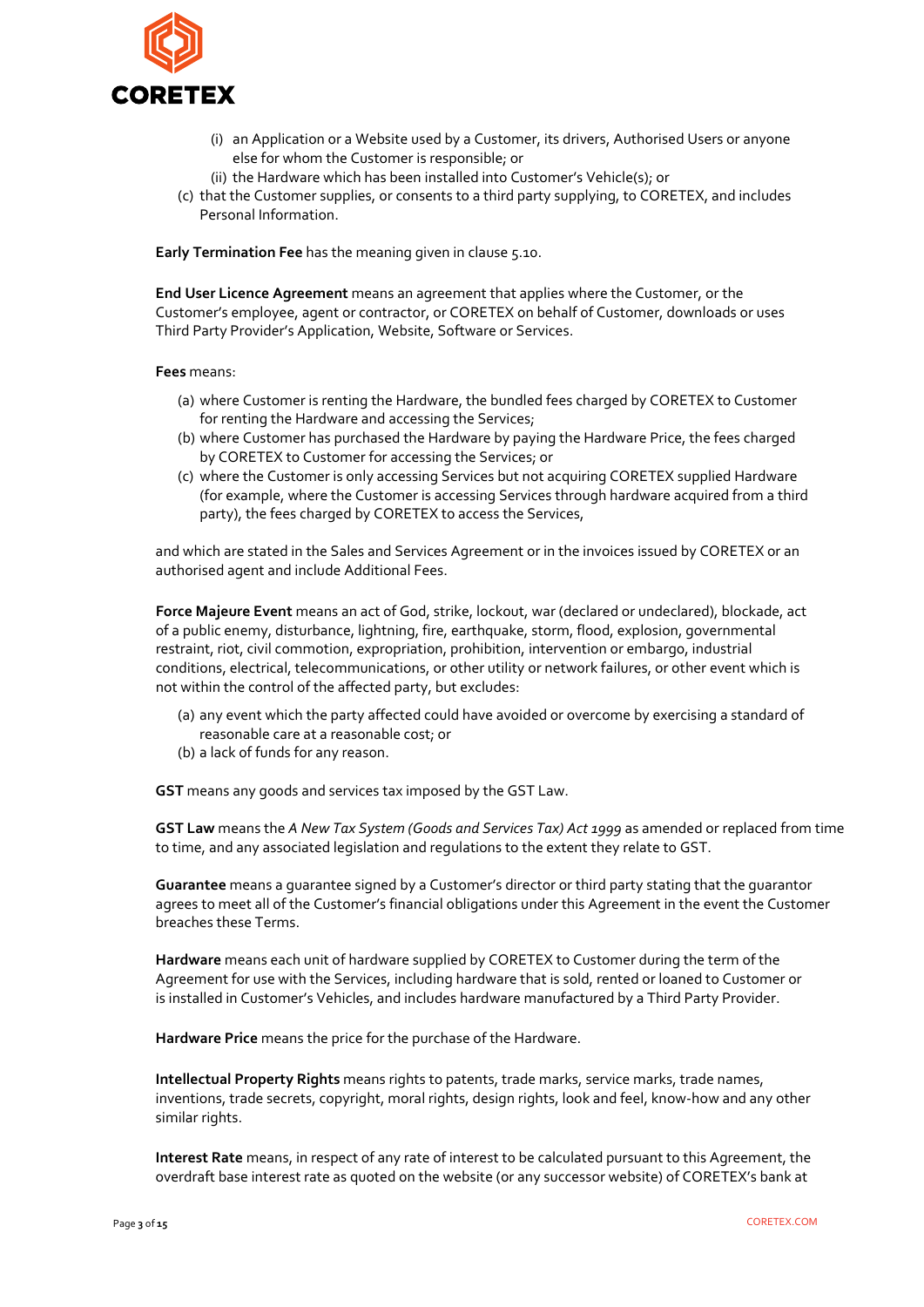

- (i) an Application or a Website used by a Customer, its drivers, Authorised Users or anyone else for whom the Customer is responsible; or
- (ii) the Hardware which has been installed into Customer's Vehicle(s); or
- (c) that the Customer supplies, or consents to a third party supplying, to CORETEX, and includes Personal Information.

**Early Termination Fee** has the meaning given in claus[e 5.10.](#page-8-0)

**End User Licence Agreement** means an agreement that applies where the Customer, or the Customer's employee, agent or contractor, or CORETEX on behalf of Customer, downloads or uses Third Party Provider's Application, Website, Software or Services.

**Fees** means:

- (a) where Customer is renting the Hardware, the bundled fees charged by CORETEX to Customer for renting the Hardware and accessing the Services;
- (b) where Customer has purchased the Hardware by paying the Hardware Price, the fees charged by CORETEX to Customer for accessing the Services; or
- (c) where the Customer is only accessing Services but not acquiring CORETEX supplied Hardware (for example, where the Customer is accessing Services through hardware acquired from a third party), the fees charged by CORETEX to access the Services,

and which are stated in the Sales and Services Agreement or in the invoices issued by CORETEX or an authorised agent and include Additional Fees.

**Force Majeure Event** means an act of God, strike, lockout, war (declared or undeclared), blockade, act of a public enemy, disturbance, lightning, fire, earthquake, storm, flood, explosion, governmental restraint, riot, civil commotion, expropriation, prohibition, intervention or embargo, industrial conditions, electrical, telecommunications, or other utility or network failures, or other event which is not within the control of the affected party, but excludes:

- (a) any event which the party affected could have avoided or overcome by exercising a standard of reasonable care at a reasonable cost; or
- (b) a lack of funds for any reason.

**GST** means any goods and services tax imposed by the GST Law.

**GST Law** means the *A New Tax System (Goods and Services Tax) Act 1999* as amended or replaced from time to time, and any associated legislation and regulations to the extent they relate to GST.

**Guarantee** means a guarantee signed by a Customer's director or third party stating that the guarantor agrees to meet all of the Customer's financial obligations under this Agreement in the event the Customer breaches these Terms.

**Hardware** means each unit of hardware supplied by CORETEX to Customer during the term of the Agreement for use with the Services, including hardware that is sold, rented or loaned to Customer or is installed in Customer's Vehicles, and includes hardware manufactured by a Third Party Provider.

**Hardware Price** means the price for the purchase of the Hardware.

**Intellectual Property Rights** means rights to patents, trade marks, service marks, trade names, inventions, trade secrets, copyright, moral rights, design rights, look and feel, know-how and any other similar rights.

**Interest Rate** means, in respect of any rate of interest to be calculated pursuant to this Agreement, the overdraft base interest rate as quoted on the website (or any successor website) of CORETEX's bank at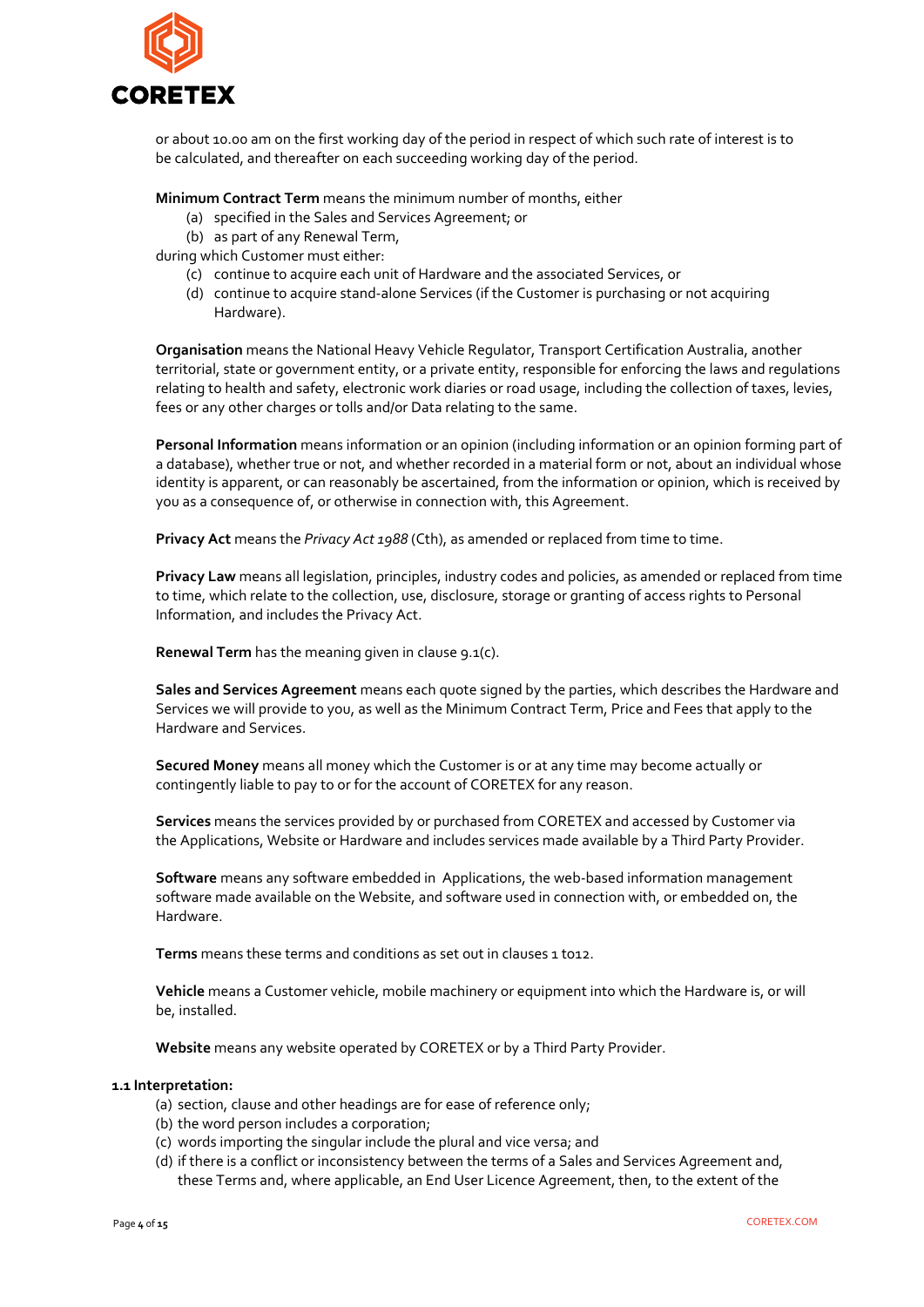

or about 10.00 am on the first working day of the period in respect of which such rate of interest is to be calculated, and thereafter on each succeeding working day of the period.

**Minimum Contract Term** means the minimum number of months, either

- (a) specified in the Sales and Services Agreement; or
- (b) as part of any Renewal Term,
- during which Customer must either:
	- (c) continue to acquire each unit of Hardware and the associated Services, or
	- (d) continue to acquire stand-alone Services (if the Customer is purchasing or not acquiring Hardware).

**Organisation** means the National Heavy Vehicle Regulator, Transport Certification Australia, another territorial, state or government entity, or a private entity, responsible for enforcing the laws and regulations relating to health and safety, electronic work diaries or road usage, including the collection of taxes, levies, fees or any other charges or tolls and/or Data relating to the same.

**Personal Information** means information or an opinion (including information or an opinion forming part of a database), whether true or not, and whether recorded in a material form or not, about an individual whose identity is apparent, or can reasonably be ascertained, from the information or opinion, which is received by you as a consequence of, or otherwise in connection with, this Agreement.

**Privacy Act** means the *Privacy Act 1988* (Cth), as amended or replaced from time to time.

**Privacy Law** means all legislation, principles, industry codes and policies, as amended or replaced from time to time, which relate to the collection, use, disclosure, storage or granting of access rights to Personal Information, and includes the Privacy Act.

**Renewal Term** has the meaning given in clause [9.1\(c\).](#page-10-0)

**Sales and Services Agreement** means each quote signed by the parties, which describes the Hardware and Services we will provide to you, as well as the Minimum Contract Term, Price and Fees that apply to the Hardware and Services.

**Secured Money** means all money which the Customer is or at any time may become actually or contingently liable to pay to or for the account of CORETEX for any reason.

**Services** means the services provided by or purchased from CORETEX and accessed by Customer via the Applications, Website or Hardware and includes services made available by a Third Party Provider.

**Software** means any software embedded in Applications, the web-based information management software made available on the Website, and software used in connection with, or embedded on, the Hardware.

**Terms** means these terms and conditions as set out in clauses 1 to12.

**Vehicle** means a Customer vehicle, mobile machinery or equipment into which the Hardware is, or will be, installed.

**Website** means any website operated by CORETEX or by a Third Party Provider.

#### **1.1 Interpretation:**

- (a) section, clause and other headings are for ease of reference only;
- (b) the word person includes a corporation;
- (c) words importing the singular include the plural and vice versa; and
- (d) if there is a conflict or inconsistency between the terms of a Sales and Services Agreement and, these Terms and, where applicable, an End User Licence Agreement, then, to the extent of the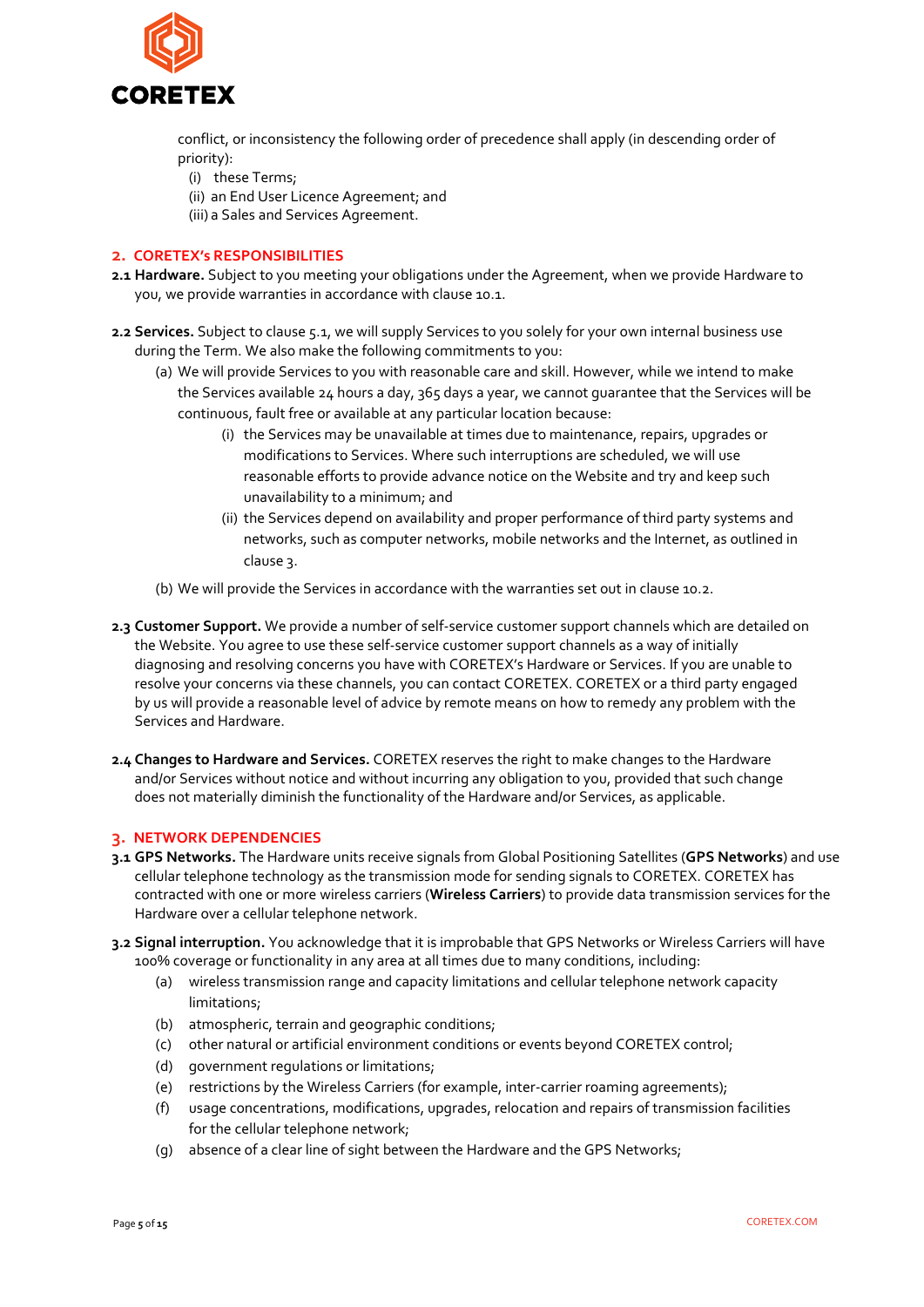

conflict, or inconsistency the following order of precedence shall apply (in descending order of priority):

- (i) these Terms;
- (ii) an End User Licence Agreement; and
- (iii) a Sales and Services Agreement.

### **2. CORETEX's RESPONSIBILITIES**

- **2.1 Hardware.** Subject to you meeting your obligations under the Agreement, when we provide Hardware to you, we provide warranties in accordance with clause [10.1.](#page-11-0)
- **2.2 Services.** Subject to claus[e 5.1,](#page-6-0) we will supply Services to you solely for your own internal business use during the Term. We also make the following commitments to you:
	- (a) We will provide Services to you with reasonable care and skill. However, while we intend to make the Services available 24 hours a day, 365 days a year, we cannot guarantee that the Services will be continuous, fault free or available at any particular location because:
		- (i) the Services may be unavailable at times due to maintenance, repairs, upgrades or modifications to Services. Where such interruptions are scheduled, we will use reasonable efforts to provide advance notice on the Website and try and keep such unavailability to a minimum; and
		- (ii) the Services depend on availability and proper performance of third party systems and networks, such as computer networks, mobile networks and the Internet, as outlined in clause [3.](#page-4-0)
	- (b) We will provide the Services in accordance with the warranties set out in claus[e 10.2.](#page-11-1)
- **2.3 Customer Support.** We provide a number of self-service customer support channels which are detailed on the Website. You agree to use these self-service customer support channels as a way of initially diagnosing and resolving concerns you have with CORETEX's Hardware or Services. If you are unable to resolve your concerns via these channels, you can contact CORETEX. CORETEX or a third party engaged by us will provide a reasonable level of advice by remote means on how to remedy any problem with the Services and Hardware.
- **2.4 Changes to Hardware and Services.** CORETEX reserves the right to make changes to the Hardware and/or Services without notice and without incurring any obligation to you, provided that such change does not materially diminish the functionality of the Hardware and/or Services, as applicable.

### <span id="page-4-0"></span>**3. NETWORK DEPENDENCIES**

- **3.1 GPS Networks.** The Hardware units receive signals from Global Positioning Satellites (**GPS Networks**) and use cellular telephone technology as the transmission mode for sending signals to CORETEX. CORETEX has contracted with one or more wireless carriers (**Wireless Carriers**) to provide data transmission services for the Hardware over a cellular telephone network.
- **3.2 Signal interruption.** You acknowledge that it is improbable that GPS Networks or Wireless Carriers will have 100% coverage or functionality in any area at all times due to many conditions, including:
	- (a) wireless transmission range and capacity limitations and cellular telephone network capacity limitations;
	- (b) atmospheric, terrain and geographic conditions;
	- (c) other natural or artificial environment conditions or events beyond CORETEX control;
	- (d) government regulations or limitations;
	- (e) restrictions by the Wireless Carriers (for example, inter-carrier roaming agreements);
	- (f) usage concentrations, modifications, upgrades, relocation and repairs of transmission facilities for the cellular telephone network;
	- (g) absence of a clear line of sight between the Hardware and the GPS Networks;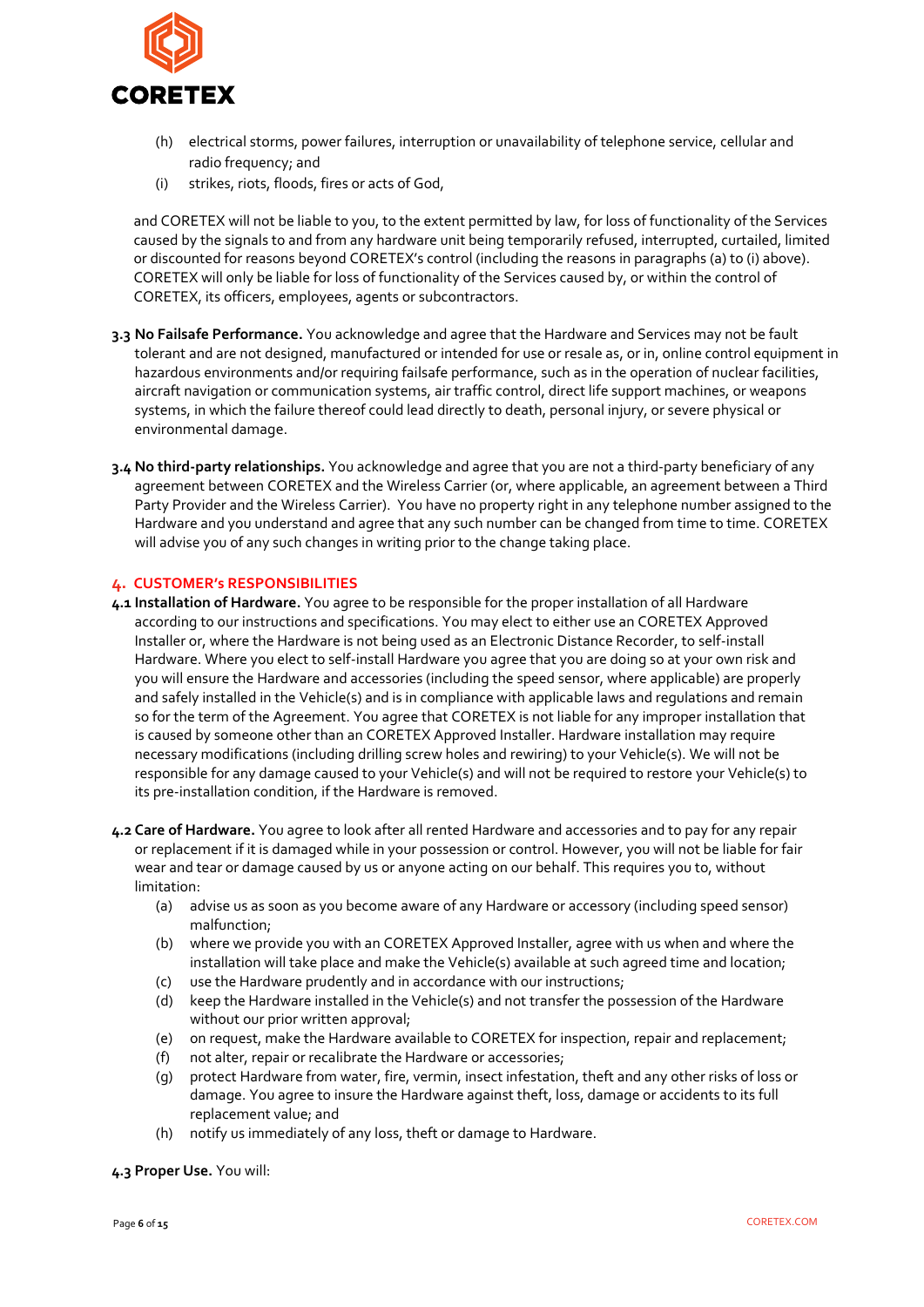

- (h) electrical storms, power failures, interruption or unavailability of telephone service, cellular and radio frequency; and
- (i) strikes, riots, floods, fires or acts of God,

and CORETEX will not be liable to you, to the extent permitted by law, for loss of functionality of the Services caused by the signals to and from any hardware unit being temporarily refused, interrupted, curtailed, limited or discounted for reasons beyond CORETEX's control (including the reasons in paragraphs (a) to (i) above). CORETEX will only be liable for loss of functionality of the Services caused by, or within the control of CORETEX, its officers, employees, agents or subcontractors.

- **3.3 No Failsafe Performance.** You acknowledge and agree that the Hardware and Services may not be fault tolerant and are not designed, manufactured or intended for use or resale as, or in, online control equipment in hazardous environments and/or requiring failsafe performance, such as in the operation of nuclear facilities, aircraft navigation or communication systems, air traffic control, direct life support machines, or weapons systems, in which the failure thereof could lead directly to death, personal injury, or severe physical or environmental damage.
- **3.4 No third-party relationships.** You acknowledge and agree that you are not a third-party beneficiary of any agreement between CORETEX and the Wireless Carrier (or, where applicable, an agreement between a Third Party Provider and the Wireless Carrier). You have no property right in any telephone number assigned to the Hardware and you understand and agree that any such number can be changed from time to time. CORETEX will advise you of any such changes in writing prior to the change taking place.

### **4. CUSTOMER's RESPONSIBILITIES**

- <span id="page-5-0"></span>**4.1 Installation of Hardware.** You agree to be responsible for the proper installation of all Hardware according to our instructions and specifications. You may elect to either use an CORETEX Approved Installer or, where the Hardware is not being used as an Electronic Distance Recorder, to self-install Hardware. Where you elect to self-install Hardware you agree that you are doing so at your own risk and you will ensure the Hardware and accessories (including the speed sensor, where applicable) are properly and safely installed in the Vehicle(s) and is in compliance with applicable laws and regulations and remain so for the term of the Agreement. You agree that CORETEX is not liable for any improper installation that is caused by someone other than an CORETEX Approved Installer. Hardware installation may require necessary modifications (including drilling screw holes and rewiring) to your Vehicle(s). We will not be responsible for any damage caused to your Vehicle(s) and will not be required to restore your Vehicle(s) to its pre-installation condition, if the Hardware is removed.
- **4.2 Care of Hardware.** You agree to look after all rented Hardware and accessories and to pay for any repair or replacement if it is damaged while in your possession or control. However, you will not be liable for fair wear and tear or damage caused by us or anyone acting on our behalf. This requires you to, without limitation:
	- (a) advise us as soon as you become aware of any Hardware or accessory (including speed sensor) malfunction;
	- (b) where we provide you with an CORETEX Approved Installer, agree with us when and where the installation will take place and make the Vehicle(s) available at such agreed time and location;
	- (c) use the Hardware prudently and in accordance with our instructions;
	- (d) keep the Hardware installed in the Vehicle(s) and not transfer the possession of the Hardware without our prior written approval;
	- (e) on request, make the Hardware available to CORETEX for inspection, repair and replacement;
	- (f) not alter, repair or recalibrate the Hardware or accessories;
	- (g) protect Hardware from water, fire, vermin, insect infestation, theft and any other risks of loss or damage. You agree to insure the Hardware against theft, loss, damage or accidents to its full replacement value; and
	- (h) notify us immediately of any loss, theft or damage to Hardware.

### <span id="page-5-1"></span>**4.3 Proper Use.** You will: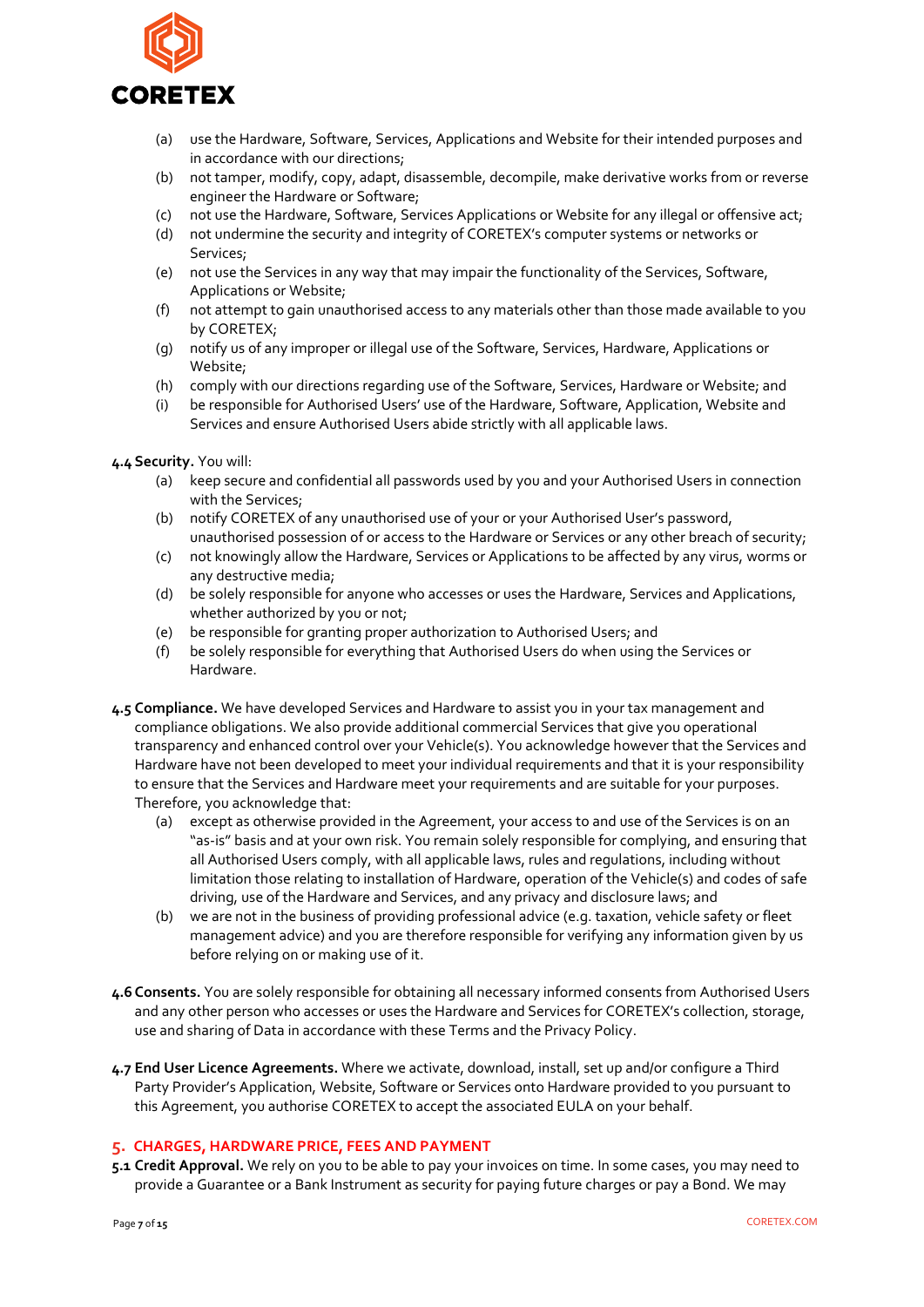

- (a) use the Hardware, Software, Services, Applications and Website for their intended purposes and in accordance with our directions;
- (b) not tamper, modify, copy, adapt, disassemble, decompile, make derivative works from or reverse engineer the Hardware or Software;
- (c) not use the Hardware, Software, Services Applications or Website for any illegal or offensive act;
- (d) not undermine the security and integrity of CORETEX's computer systems or networks or Services;
- (e) not use the Services in any way that may impair the functionality of the Services, Software, Applications or Website;
- (f) not attempt to gain unauthorised access to any materials other than those made available to you by CORETEX;
- (g) notify us of any improper or illegal use of the Software, Services, Hardware, Applications or Website;
- (h) comply with our directions regarding use of the Software, Services, Hardware or Website; and
- (i) be responsible for Authorised Users' use of the Hardware, Software, Application, Website and Services and ensure Authorised Users abide strictly with all applicable laws.
- **4.4 Security.** You will:
	- (a) keep secure and confidential all passwords used by you and your Authorised Users in connection with the Services;
	- (b) notify CORETEX of any unauthorised use of your or your Authorised User's password, unauthorised possession of or access to the Hardware or Services or any other breach of security;
	- (c) not knowingly allow the Hardware, Services or Applications to be affected by any virus, worms or any destructive media;
	- (d) be solely responsible for anyone who accesses or uses the Hardware, Services and Applications, whether authorized by you or not;
	- (e) be responsible for granting proper authorization to Authorised Users; and
	- (f) be solely responsible for everything that Authorised Users do when using the Services or Hardware.
- **4.5 Compliance.** We have developed Services and Hardware to assist you in your tax management and compliance obligations. We also provide additional commercial Services that give you operational transparency and enhanced control over your Vehicle(s). You acknowledge however that the Services and Hardware have not been developed to meet your individual requirements and that it is your responsibility to ensure that the Services and Hardware meet your requirements and are suitable for your purposes. Therefore, you acknowledge that:
	- (a) except as otherwise provided in the Agreement, your access to and use of the Services is on an "as-is" basis and at your own risk. You remain solely responsible for complying, and ensuring that all Authorised Users comply, with all applicable laws, rules and regulations, including without limitation those relating to installation of Hardware, operation of the Vehicle(s) and codes of safe driving, use of the Hardware and Services, and any privacy and disclosure laws; and
	- (b) we are not in the business of providing professional advice (e.g. taxation, vehicle safety or fleet management advice) and you are therefore responsible for verifying any information given by us before relying on or making use of it.
- **4.6Consents.** You are solely responsible for obtaining all necessary informed consents from Authorised Users and any other person who accesses or uses the Hardware and Services for CORETEX's collection, storage, use and sharing of Data in accordance with these Terms and the Privacy Policy.
- **4.7 End User Licence Agreements.** Where we activate, download, install, set up and/or configure a Third Party Provider's Application, Website, Software or Services onto Hardware provided to you pursuant to this Agreement, you authorise CORETEX to accept the associated EULA on your behalf.

### **5. CHARGES, HARDWARE PRICE, FEES AND PAYMENT**

<span id="page-6-0"></span>**5.1 Credit Approval.** We rely on you to be able to pay your invoices on time. In some cases, you may need to provide a Guarantee or a Bank Instrument as security for paying future charges or pay a Bond. We may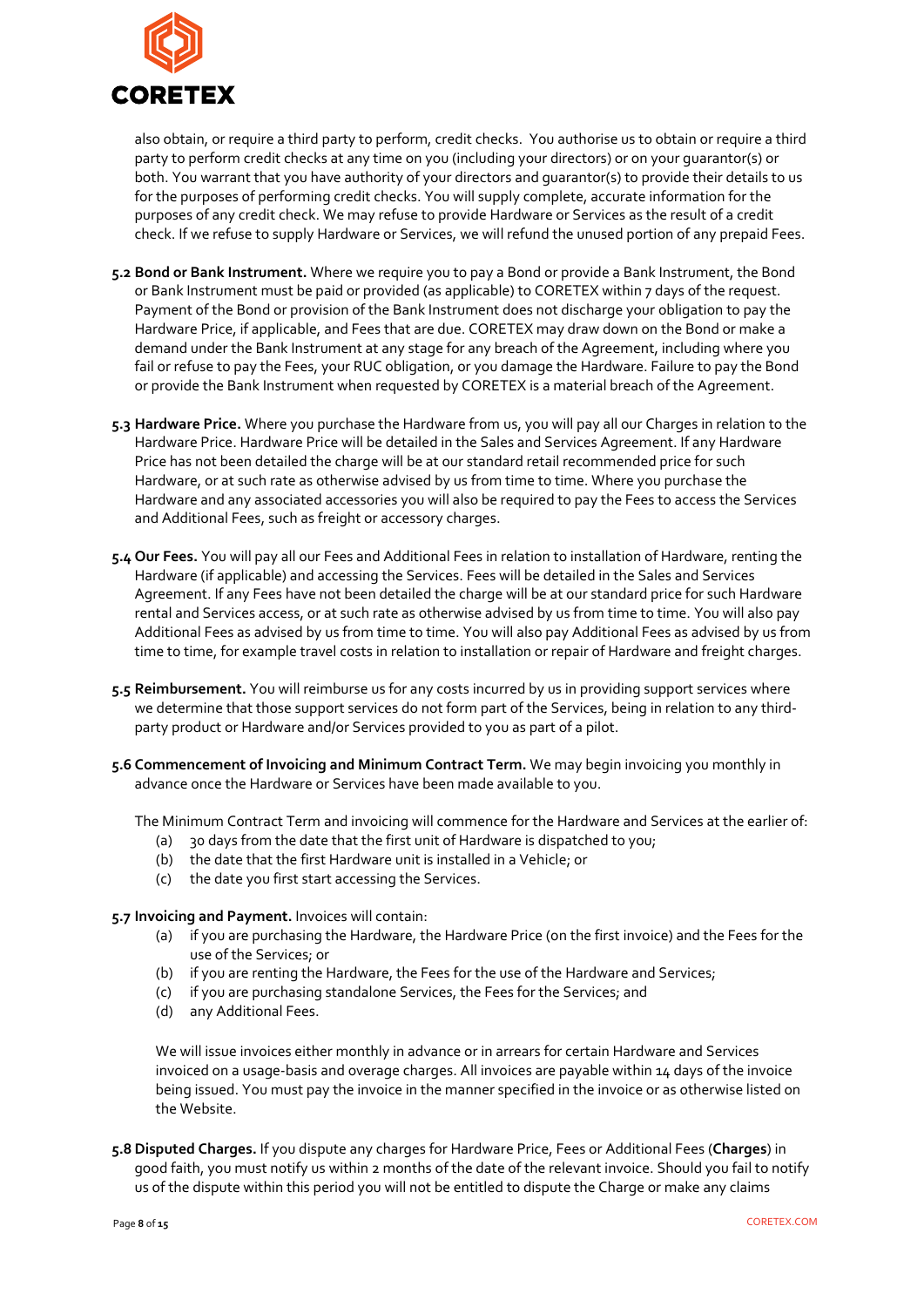

also obtain, or require a third party to perform, credit checks. You authorise us to obtain or require a third party to perform credit checks at any time on you (including your directors) or on your guarantor(s) or both. You warrant that you have authority of your directors and guarantor(s) to provide their details to us for the purposes of performing credit checks. You will supply complete, accurate information for the purposes of any credit check. We may refuse to provide Hardware or Services as the result of a credit check. If we refuse to supply Hardware or Services, we will refund the unused portion of any prepaid Fees.

- **5.2 Bond or Bank Instrument.** Where we require you to pay a Bond or provide a Bank Instrument, the Bond or Bank Instrument must be paid or provided (as applicable) to CORETEX within 7 days of the request. Payment of the Bond or provision of the Bank Instrument does not discharge your obligation to pay the Hardware Price, if applicable, and Fees that are due. CORETEX may draw down on the Bond or make a demand under the Bank Instrument at any stage for any breach of the Agreement, including where you fail or refuse to pay the Fees, your RUC obligation, or you damage the Hardware. Failure to pay the Bond or provide the Bank Instrument when requested by CORETEX is a material breach of the Agreement.
- **5.3 Hardware Price.** Where you purchase the Hardware from us, you will pay all our Charges in relation to the Hardware Price. Hardware Price will be detailed in the Sales and Services Agreement. If any Hardware Price has not been detailed the charge will be at our standard retail recommended price for such Hardware, or at such rate as otherwise advised by us from time to time. Where you purchase the Hardware and any associated accessories you will also be required to pay the Fees to access the Services and Additional Fees, such as freight or accessory charges.
- **5.4 Our Fees.** You will pay all our Fees and Additional Fees in relation to installation of Hardware, renting the Hardware (if applicable) and accessing the Services. Fees will be detailed in the Sales and Services Agreement. If any Fees have not been detailed the charge will be at our standard price for such Hardware rental and Services access, or at such rate as otherwise advised by us from time to time. You will also pay Additional Fees as advised by us from time to time. You will also pay Additional Fees as advised by us from time to time, for example travel costs in relation to installation or repair of Hardware and freight charges.
- <span id="page-7-1"></span>**5.5 Reimbursement.** You will reimburse us for any costs incurred by us in providing support services where we determine that those support services do not form part of the Services, being in relation to any thirdparty product or Hardware and/or Services provided to you as part of a pilot.
- **5.6 Commencement of Invoicing and Minimum Contract Term.** We may begin invoicing you monthly in advance once the Hardware or Services have been made available to you.
	- The Minimum Contract Term and invoicing will commence for the Hardware and Services at the earlier of:
		- (a) 30 days from the date that the first unit of Hardware is dispatched to you;
		- (b) the date that the first Hardware unit is installed in a Vehicle; or
		- (c) the date you first start accessing the Services.

#### <span id="page-7-2"></span>**5.7 Invoicing and Payment.** Invoices will contain:

- (a) if you are purchasing the Hardware, the Hardware Price (on the first invoice) and the Fees for the use of the Services; or
- (b) if you are renting the Hardware, the Fees for the use of the Hardware and Services;
- (c) if you are purchasing standalone Services, the Fees for the Services; and
- (d) any Additional Fees.

We will issue invoices either monthly in advance or in arrears for certain Hardware and Services invoiced on a usage-basis and overage charges. All invoices are payable within 14 days of the invoice being issued. You must pay the invoice in the manner specified in the invoice or as otherwise listed on the Website.

<span id="page-7-0"></span>**5.8 Disputed Charges.** If you dispute any charges for Hardware Price, Fees or Additional Fees (**Charges**) in good faith, you must notify us within 2 months of the date of the relevant invoice. Should you fail to notify us of the dispute within this period you will not be entitled to dispute the Charge or make any claims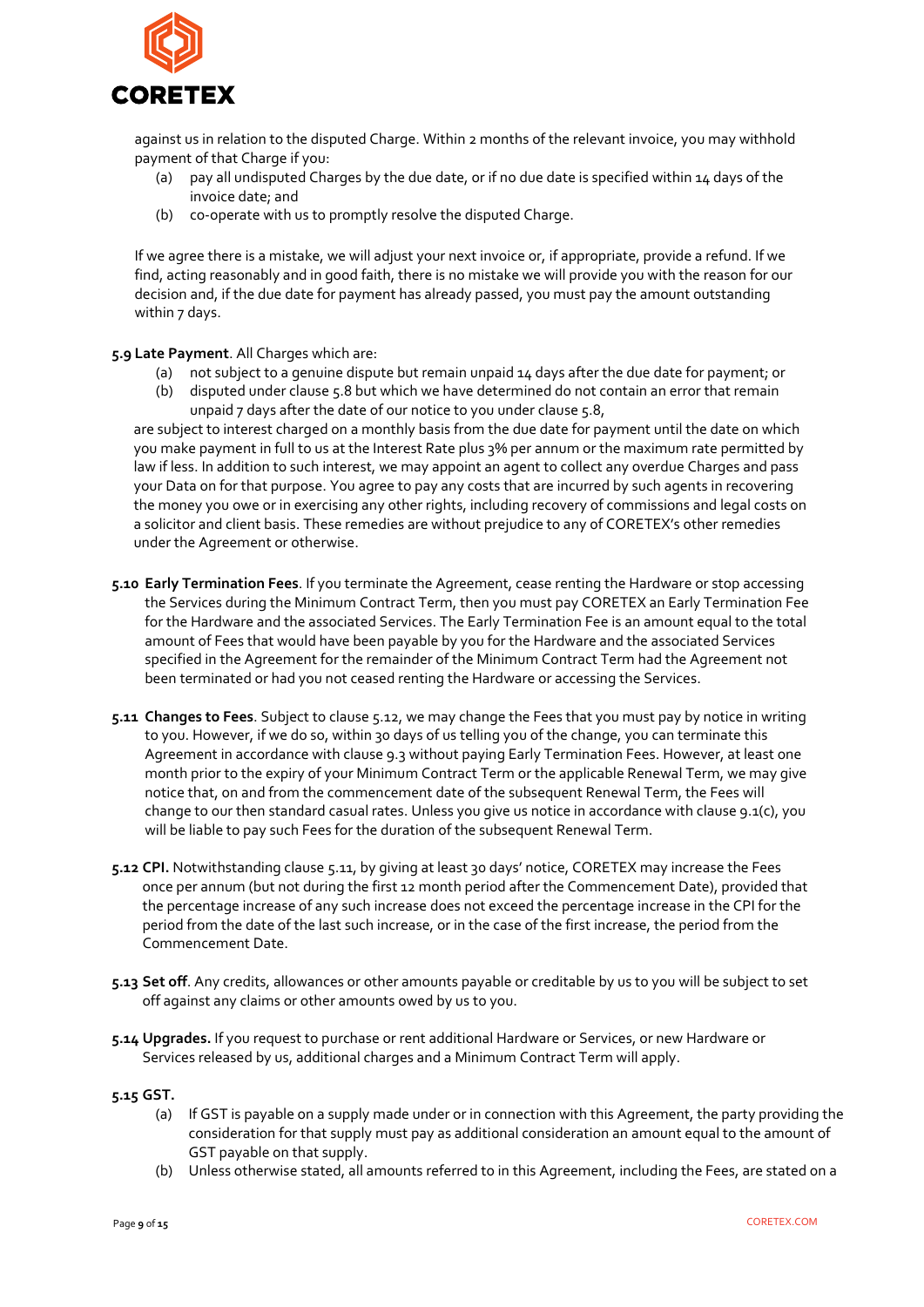

against us in relation to the disputed Charge. Within 2 months of the relevant invoice, you may withhold payment of that Charge if you:

- (a) pay all undisputed Charges by the due date, or if no due date is specified within 14 days of the invoice date; and
- (b) co-operate with us to promptly resolve the disputed Charge.

If we agree there is a mistake, we will adjust your next invoice or, if appropriate, provide a refund. If we find, acting reasonably and in good faith, there is no mistake we will provide you with the reason for our decision and, if the due date for payment has already passed, you must pay the amount outstanding within 7 days.

### <span id="page-8-3"></span>**5.9 Late Payment**. All Charges which are:

- (a) not subject to a genuine dispute but remain unpaid 14 days after the due date for payment; or
- (b) disputed under claus[e 5.8](#page-7-0) but which we have determined do not contain an error that remain unpaid 7 days after the date of our notice to you under claus[e 5.8,](#page-7-0)

are subject to interest charged on a monthly basis from the due date for payment until the date on which you make payment in full to us at the Interest Rate plus 3% per annum or the maximum rate permitted by law if less. In addition to such interest, we may appoint an agent to collect any overdue Charges and pass your Data on for that purpose. You agree to pay any costs that are incurred by such agents in recovering the money you owe or in exercising any other rights, including recovery of commissions and legal costs on a solicitor and client basis. These remedies are without prejudice to any of CORETEX's other remedies under the Agreement or otherwise.

- <span id="page-8-0"></span>**5.10 Early Termination Fees**. If you terminate the Agreement, cease renting the Hardware or stop accessing the Services during the Minimum Contract Term, then you must pay CORETEX an Early Termination Fee for the Hardware and the associated Services. The Early Termination Fee is an amount equal to the total amount of Fees that would have been payable by you for the Hardware and the associated Services specified in the Agreement for the remainder of the Minimum Contract Term had the Agreement not been terminated or had you not ceased renting the Hardware or accessing the Services.
- <span id="page-8-2"></span>**5.11 Changes to Fees**. Subject to claus[e 5.12,](#page-8-1) we may change the Fees that you must pay by notice in writing to you. However, if we do so, within 30 days of us telling you of the change, you can terminate this Agreement in accordance with claus[e 9.3](#page-11-2) without paying Early Termination Fees. However, at least one month prior to the expiry of your Minimum Contract Term or the applicable Renewal Term, we may give notice that, on and from the commencement date of the subsequent Renewal Term, the Fees will change to our then standard casual rates. Unless you give us notice in accordance with claus[e 9.1\(c\),](#page-10-0) you will be liable to pay such Fees for the duration of the subsequent Renewal Term.
- <span id="page-8-1"></span>**5.12 CPI.** Notwithstanding claus[e 5.11,](#page-8-2) by giving at least 30 days' notice, CORETEX may increase the Fees once per annum (but not during the first 12 month period after the Commencement Date), provided that the percentage increase of any such increase does not exceed the percentage increase in the CPI for the period from the date of the last such increase, or in the case of the first increase, the period from the Commencement Date.
- **5.13 Set off**. Any credits, allowances or other amounts payable or creditable by us to you will be subject to set off against any claims or other amounts owed by us to you.
- **5.14 Upgrades.** If you request to purchase or rent additional Hardware or Services, or new Hardware or Services released by us, additional charges and a Minimum Contract Term will apply.

#### **5.15 GST.**

- (a) If GST is payable on a supply made under or in connection with this Agreement, the party providing the consideration for that supply must pay as additional consideration an amount equal to the amount of GST payable on that supply.
- (b) Unless otherwise stated, all amounts referred to in this Agreement, including the Fees, are stated on a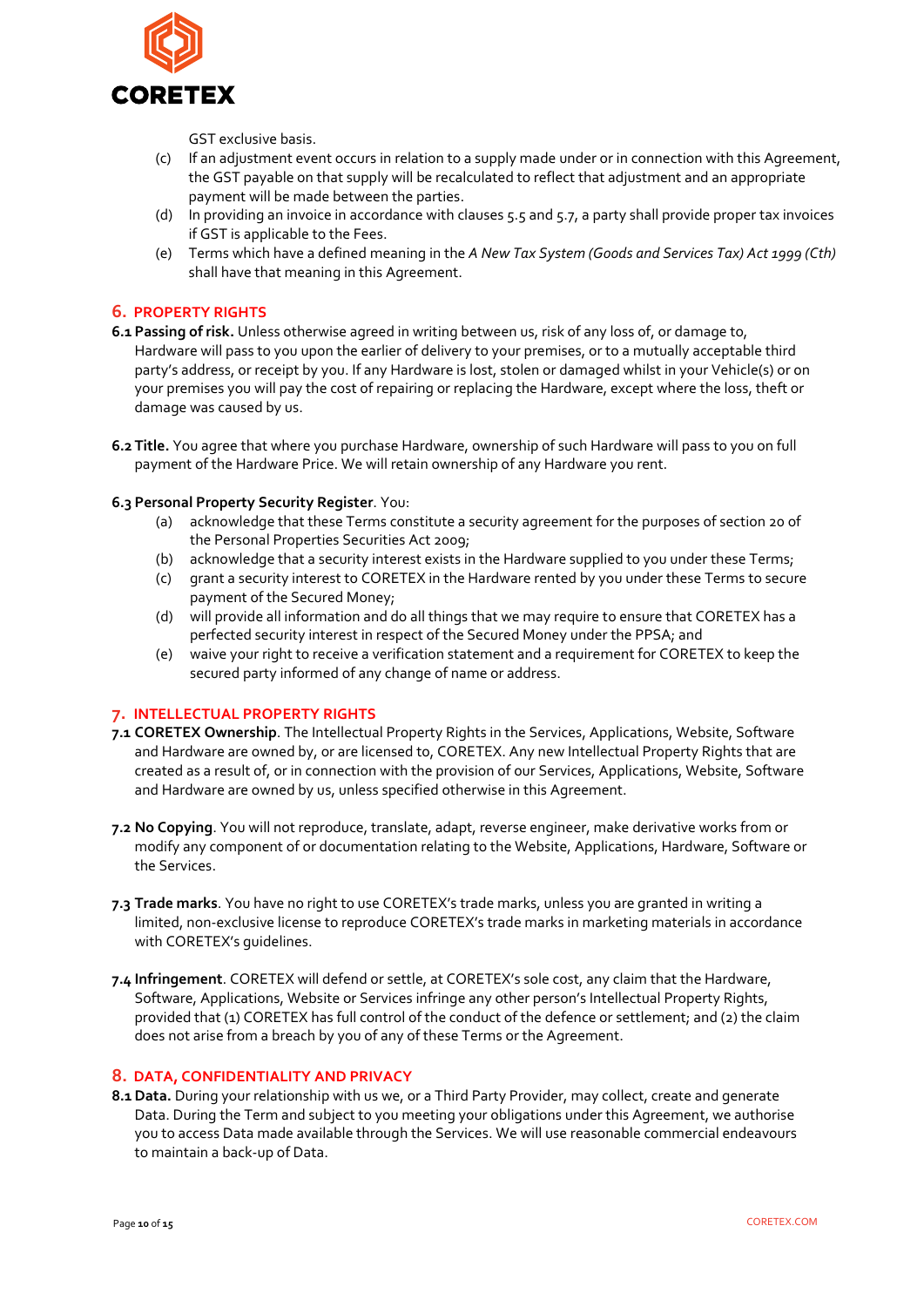

GST exclusive basis.

- (c) If an adjustment event occurs in relation to a supply made under or in connection with this Agreement, the GST payable on that supply will be recalculated to reflect that adjustment and an appropriate payment will be made between the parties.
- (d) In providing an invoice in accordance with clauses [5.5](#page-7-1) an[d 5.7,](#page-7-2) a party shall provide proper tax invoices if GST is applicable to the Fees.
- (e) Terms which have a defined meaning in the *A New Tax System (Goods and Services Tax) Act 1999 (Cth)* shall have that meaning in this Agreement.

### **6. PROPERTY RIGHTS**

- **6.1 Passing of risk.** Unless otherwise agreed in writing between us, risk of any loss of, or damage to, Hardware will pass to you upon the earlier of delivery to your premises, or to a mutually acceptable third party's address, or receipt by you. If any Hardware is lost, stolen or damaged whilst in your Vehicle(s) or on your premises you will pay the cost of repairing or replacing the Hardware, except where the loss, theft or damage was caused by us.
- **6.2 Title.** You agree that where you purchase Hardware, ownership of such Hardware will pass to you on full payment of the Hardware Price. We will retain ownership of any Hardware you rent.

### **6.3 Personal Property Security Register**. You:

- (a) acknowledge that these Terms constitute a security agreement for the purposes of section 20 of the Personal Properties Securities Act 2009;
- (b) acknowledge that a security interest exists in the Hardware supplied to you under these Terms;
- (c) grant a security interest to CORETEX in the Hardware rented by you under these Terms to secure payment of the Secured Money;
- (d) will provide all information and do all things that we may require to ensure that CORETEX has a perfected security interest in respect of the Secured Money under the PPSA; and
- (e) waive your right to receive a verification statement and a requirement for CORETEX to keep the secured party informed of any change of name or address.

### <span id="page-9-0"></span>**7. INTELLECTUAL PROPERTY RIGHTS**

- **7.1 CORETEX Ownership**. The Intellectual Property Rights in the Services, Applications, Website, Software and Hardware are owned by, or are licensed to, CORETEX. Any new Intellectual Property Rights that are created as a result of, or in connection with the provision of our Services, Applications, Website, Software and Hardware are owned by us, unless specified otherwise in this Agreement.
- **7.2 No Copying**. You will not reproduce, translate, adapt, reverse engineer, make derivative works from or modify any component of or documentation relating to the Website, Applications, Hardware, Software or the Services.
- **7.3 Trade marks**. You have no right to use CORETEX's trade marks, unless you are granted in writing a limited, non-exclusive license to reproduce CORETEX's trade marks in marketing materials in accordance with CORETEX's guidelines.
- **7.4 Infringement**. CORETEX will defend or settle, at CORETEX's sole cost, any claim that the Hardware, Software, Applications, Website or Services infringe any other person's Intellectual Property Rights, provided that (1) CORETEX has full control of the conduct of the defence or settlement; and (2) the claim does not arise from a breach by you of any of these Terms or the Agreement.

### **8. DATA, CONFIDENTIALITY AND PRIVACY**

**8.1 Data.** During your relationship with us we, or a Third Party Provider, may collect, create and generate Data. During the Term and subject to you meeting your obligations under this Agreement, we authorise you to access Data made available through the Services. We will use reasonable commercial endeavours to maintain a back-up of Data.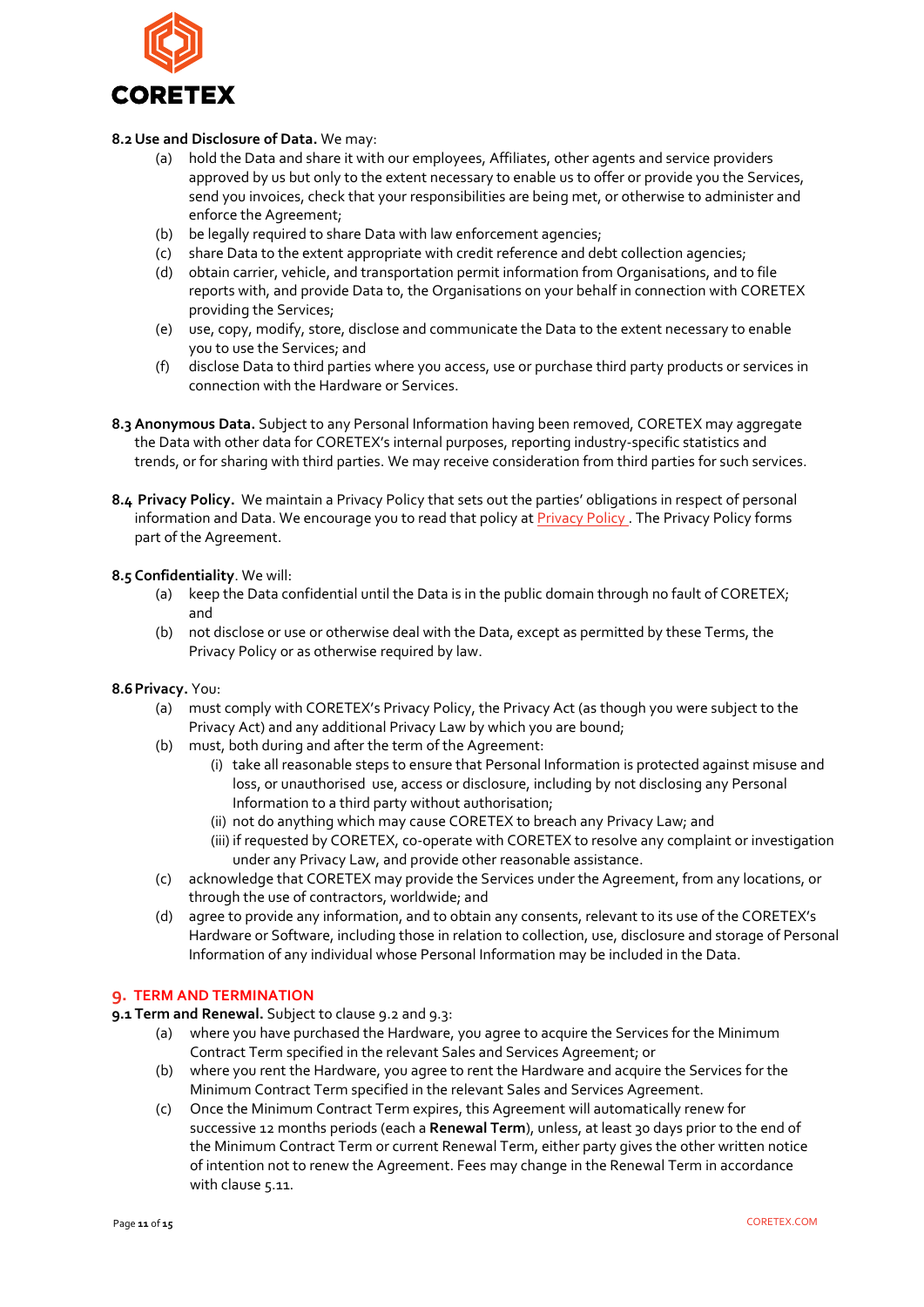

### <span id="page-10-1"></span>**8.2 Use and Disclosure of Data.** We may:

- (a) hold the Data and share it with our employees, Affiliates, other agents and service providers approved by us but only to the extent necessary to enable us to offer or provide you the Services, send you invoices, check that your responsibilities are being met, or otherwise to administer and enforce the Agreement;
- (b) be legally required to share Data with law enforcement agencies;
- (c) share Data to the extent appropriate with credit reference and debt collection agencies;
- (d) obtain carrier, vehicle, and transportation permit information from Organisations, and to file reports with, and provide Data to, the Organisations on your behalf in connection with CORETEX providing the Services;
- (e) use, copy, modify, store, disclose and communicate the Data to the extent necessary to enable you to use the Services; and
- (f) disclose Data to third parties where you access, use or purchase third party products or services in connection with the Hardware or Services.
- <span id="page-10-2"></span>**8.3 Anonymous Data.** Subject to any Personal Information having been removed, CORETEX may aggregate the Data with other data for CORETEX's internal purposes, reporting industry-specific statistics and trends, or for sharing with third parties. We may receive consideration from third parties for such services.
- <span id="page-10-3"></span>**8.4 Privacy Policy.** We maintain a Privacy Policy that sets out the parties' obligations in respect of personal information and Data. We encourage you to read that policy at **[Privacy Policy](http://www.eroad.com.au/privacy-policy)**. The Privacy Policy forms part of the Agreement.

### <span id="page-10-4"></span>**8.5 Confidentiality**. We will:

- (a) keep the Data confidential until the Data is in the public domain through no fault of CORETEX; and
- (b) not disclose or use or otherwise deal with the Data, except as permitted by these Terms, the Privacy Policy or as otherwise required by law.

### <span id="page-10-5"></span>**8.6Privacy.** You:

- (a) must comply with CORETEX's Privacy Policy, the Privacy Act (as though you were subject to the Privacy Act) and any additional Privacy Law by which you are bound;
- (b) must, both during and after the term of the Agreement:
	- (i) take all reasonable steps to ensure that Personal Information is protected against misuse and loss, or unauthorised use, access or disclosure, including by not disclosing any Personal Information to a third party without authorisation;
	- (ii) not do anything which may cause CORETEX to breach any Privacy Law; and
	- (iii) if requested by CORETEX, co-operate with CORETEX to resolve any complaint or investigation under any Privacy Law, and provide other reasonable assistance.
- (c) acknowledge that CORETEX may provide the Services under the Agreement, from any locations, or through the use of contractors, worldwide; and
- (d) agree to provide any information, and to obtain any consents, relevant to its use of the CORETEX's Hardware or Software, including those in relation to collection, use, disclosure and storage of Personal Information of any individual whose Personal Information may be included in the Data.

### **9. TERM AND TERMINATION**

- <span id="page-10-0"></span>**9.1 Term and Renewal.** Subject to claus[e 9.2](#page-11-3) an[d 9.3:](#page-11-2)
	- (a) where you have purchased the Hardware, you agree to acquire the Services for the Minimum Contract Term specified in the relevant Sales and Services Agreement; or
	- (b) where you rent the Hardware, you agree to rent the Hardware and acquire the Services for the Minimum Contract Term specified in the relevant Sales and Services Agreement.
	- (c) Once the Minimum Contract Term expires, this Agreement will automatically renew for successive 12 months periods (each a **Renewal Term**), unless, at least 30 days prior to the end of the Minimum Contract Term or current Renewal Term, either party gives the other written notice of intention not to renew the Agreement. Fees may change in the Renewal Term in accordance with claus[e 5.11.](#page-8-2)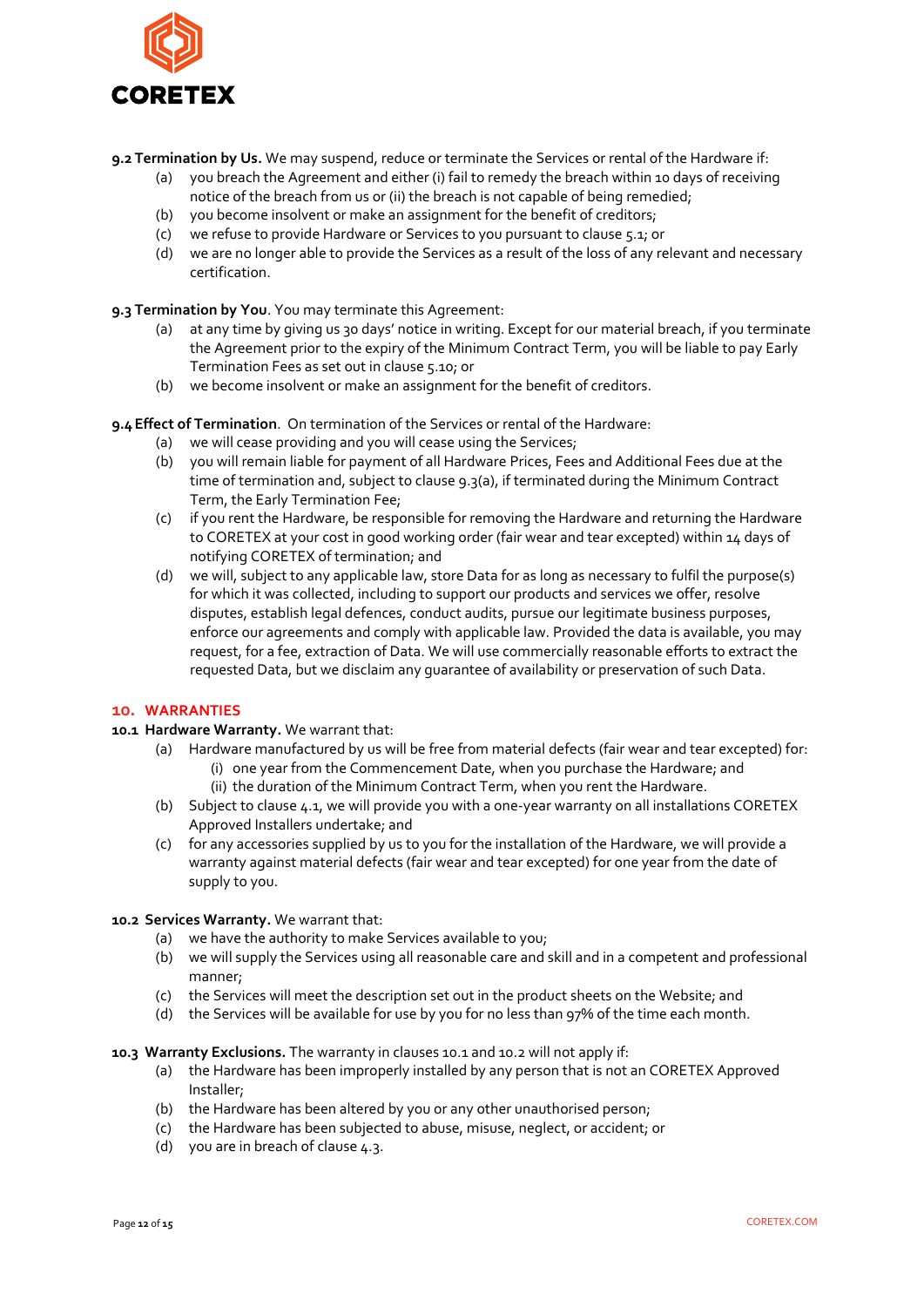

<span id="page-11-3"></span>**9.2 Termination by Us.** We may suspend, reduce or terminate the Services or rental of the Hardware if:

- (a) you breach the Agreement and either (i) fail to remedy the breach within 10 days of receiving notice of the breach from us or (ii) the breach is not capable of being remedied;
- (b) you become insolvent or make an assignment for the benefit of creditors;
- (c) we refuse to provide Hardware or Services to you pursuant to clause [5.1;](#page-6-0) or
- (d) we are no longer able to provide the Services as a result of the loss of any relevant and necessary certification.

<span id="page-11-4"></span><span id="page-11-2"></span>**9.3 Termination by You**. You may terminate this Agreement:

- (a) at any time by giving us 30 days' notice in writing. Except for our material breach, if you terminate the Agreement prior to the expiry of the Minimum Contract Term, you will be liable to pay Early Termination Fees as set out in claus[e 5.10;](#page-8-0) or
- (b) we become insolvent or make an assignment for the benefit of creditors.

<span id="page-11-6"></span>**9.4Effect of Termination**. On termination of the Services or rental of the Hardware:

- (a) we will cease providing and you will cease using the Services;
- (b) you will remain liable for payment of all Hardware Prices, Fees and Additional Fees due at the time of termination and, subject to claus[e 9.3\(a\),](#page-11-4) if terminated during the Minimum Contract Term, the Early Termination Fee;
- (c) if you rent the Hardware, be responsible for removing the Hardware and returning the Hardware to CORETEX at your cost in good working order (fair wear and tear excepted) within 14 days of notifying CORETEX of termination; and
- (d) we will, subject to any applicable law, store Data for as long as necessary to fulfil the purpose(s) for which it was collected, including to support our products and services we offer, resolve disputes, establish legal defences, conduct audits, pursue our legitimate business purposes, enforce our agreements and comply with applicable law. Provided the data is available, you may request, for a fee, extraction of Data. We will use commercially reasonable efforts to extract the requested Data, but we disclaim any guarantee of availability or preservation of such Data.

### **10. WARRANTIES**

- <span id="page-11-0"></span>**10.1 Hardware Warranty.** We warrant that:
	- (a) Hardware manufactured by us will be free from material defects (fair wear and tear excepted) for: (i) one year from the Commencement Date, when you purchase the Hardware; and
		- (ii) the duration of the Minimum Contract Term, when you rent the Hardware.
	- (b) Subject to claus[e 4.1,](#page-5-0) we will provide you with a one-year warranty on all installations CORETEX Approved Installers undertake; and
	- (c) for any accessories supplied by us to you for the installation of the Hardware, we will provide a warranty against material defects (fair wear and tear excepted) for one year from the date of supply to you.

### <span id="page-11-1"></span>**10.2 Services Warranty.** We warrant that:

- (a) we have the authority to make Services available to you;
- (b) we will supply the Services using all reasonable care and skill and in a competent and professional manner;
- (c) the Services will meet the description set out in the product sheets on the Website; and
- (d) the Services will be available for use by you for no less than 97% of the time each month.

### <span id="page-11-5"></span>**10.3 Warranty Exclusions.** The warranty in clause[s 10.1](#page-11-0) and [10.2](#page-11-1) will not apply if:

- (a) the Hardware has been improperly installed by any person that is not an CORETEX Approved Installer;
- (b) the Hardware has been altered by you or any other unauthorised person;
- (c) the Hardware has been subjected to abuse, misuse, neglect, or accident; or
- (d) you are in breach of clause [4.3.](#page-5-1)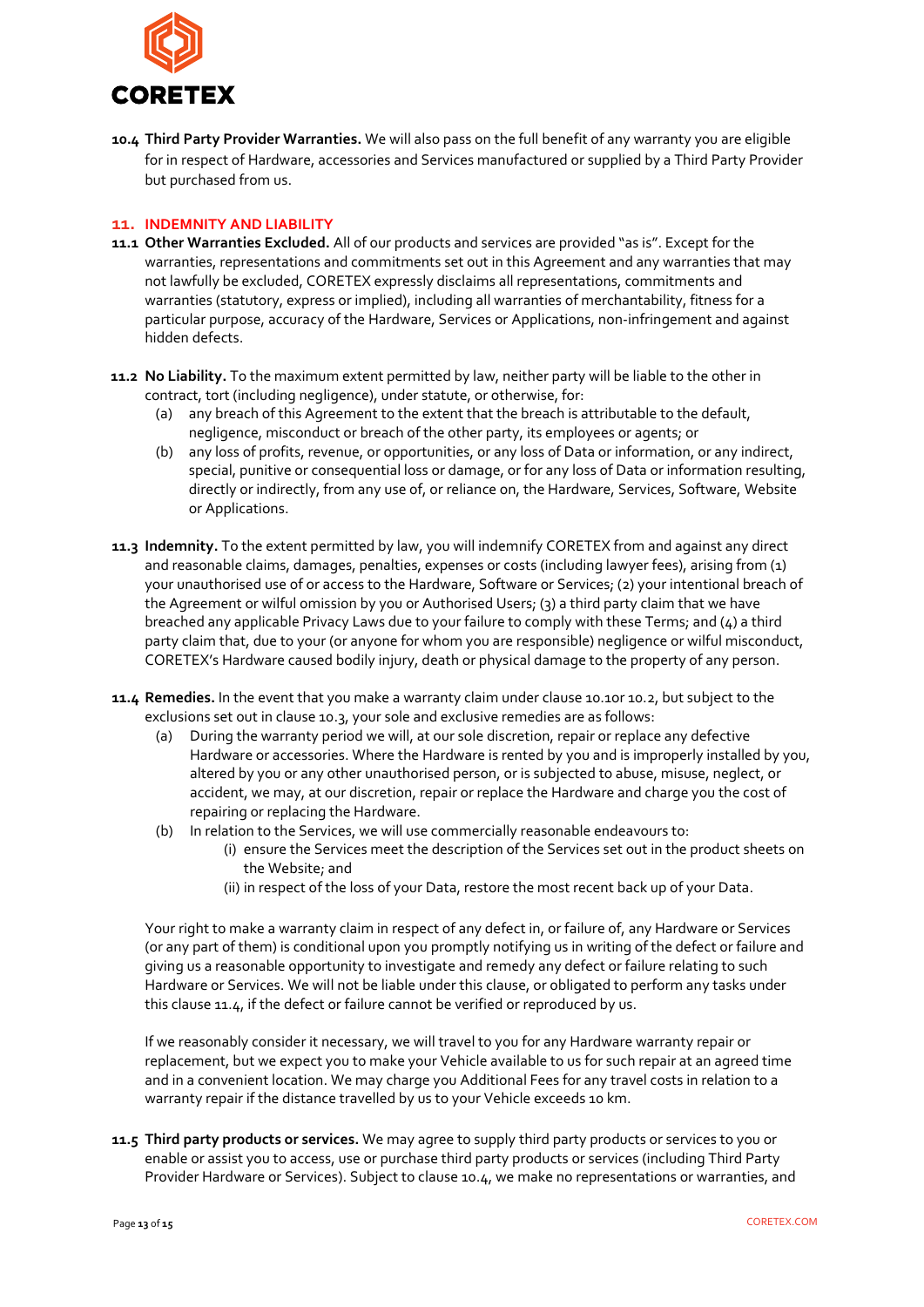

<span id="page-12-1"></span>**10.4 Third Party Provider Warranties.** We will also pass on the full benefit of any warranty you are eligible for in respect of Hardware, accessories and Services manufactured or supplied by a Third Party Provider but purchased from us.

### <span id="page-12-4"></span>**11. INDEMNITY AND LIABILITY**

- **11.1 Other Warranties Excluded.** All of our products and services are provided "as is". Except for the warranties, representations and commitments set out in this Agreement and any warranties that may not lawfully be excluded, CORETEX expressly disclaims all representations, commitments and warranties (statutory, express or implied), including all warranties of merchantability, fitness for a particular purpose, accuracy of the Hardware, Services or Applications, non-infringement and against hidden defects.
- <span id="page-12-2"></span>**11.2 No Liability.** To the maximum extent permitted by law, neither party will be liable to the other in contract, tort (including negligence), under statute, or otherwise, for:
	- (a) any breach of this Agreement to the extent that the breach is attributable to the default, negligence, misconduct or breach of the other party, its employees or agents; or
	- (b) any loss of profits, revenue, or opportunities, or any loss of Data or information, or any indirect, special, punitive or consequential loss or damage, or for any loss of Data or information resulting, directly or indirectly, from any use of, or reliance on, the Hardware, Services, Software, Website or Applications.
- **11.3 Indemnity.** To the extent permitted by law, you will indemnify CORETEX from and against any direct and reasonable claims, damages, penalties, expenses or costs (including lawyer fees), arising from (1) your unauthorised use of or access to the Hardware, Software or Services; (2) your intentional breach of the Agreement or wilful omission by you or Authorised Users; (3) a third party claim that we have breached any applicable Privacy Laws due to your failure to comply with these Terms; and (4) a third party claim that, due to your (or anyone for whom you are responsible) negligence or wilful misconduct, CORETEX's Hardware caused bodily injury, death or physical damage to the property of any person.
- <span id="page-12-0"></span>**11.4 Remedies.** In the event that you make a warranty claim under claus[e 10.1o](#page-11-0)[r 10.2,](#page-11-1) but subject to the exclusions set out in claus[e 10.3,](#page-11-5) your sole and exclusive remedies are as follows:
	- (a) During the warranty period we will, at our sole discretion, repair or replace any defective Hardware or accessories. Where the Hardware is rented by you and is improperly installed by you, altered by you or any other unauthorised person, or is subjected to abuse, misuse, neglect, or accident, we may, at our discretion, repair or replace the Hardware and charge you the cost of repairing or replacing the Hardware.
	- (b) In relation to the Services, we will use commercially reasonable endeavours to:
		- (i) ensure the Services meet the description of the Services set out in the product sheets on the Website; and
		- (ii) in respect of the loss of your Data, restore the most recent back up of your Data.

Your right to make a warranty claim in respect of any defect in, or failure of, any Hardware or Services (or any part of them) is conditional upon you promptly notifying us in writing of the defect or failure and giving us a reasonable opportunity to investigate and remedy any defect or failure relating to such Hardware or Services. We will not be liable under this clause, or obligated to perform any tasks under this claus[e 11.4,](#page-12-0) if the defect or failure cannot be verified or reproduced by us.

If we reasonably consider it necessary, we will travel to you for any Hardware warranty repair or replacement, but we expect you to make your Vehicle available to us for such repair at an agreed time and in a convenient location. We may charge you Additional Fees for any travel costs in relation to a warranty repair if the distance travelled by us to your Vehicle exceeds 10 km.

<span id="page-12-3"></span>**11.5 Third party products or services.** We may agree to supply third party products or services to you or enable or assist you to access, use or purchase third party products or services (including Third Party Provider Hardware or Services). Subject to claus[e 10.4,](#page-12-1) we make no representations or warranties, and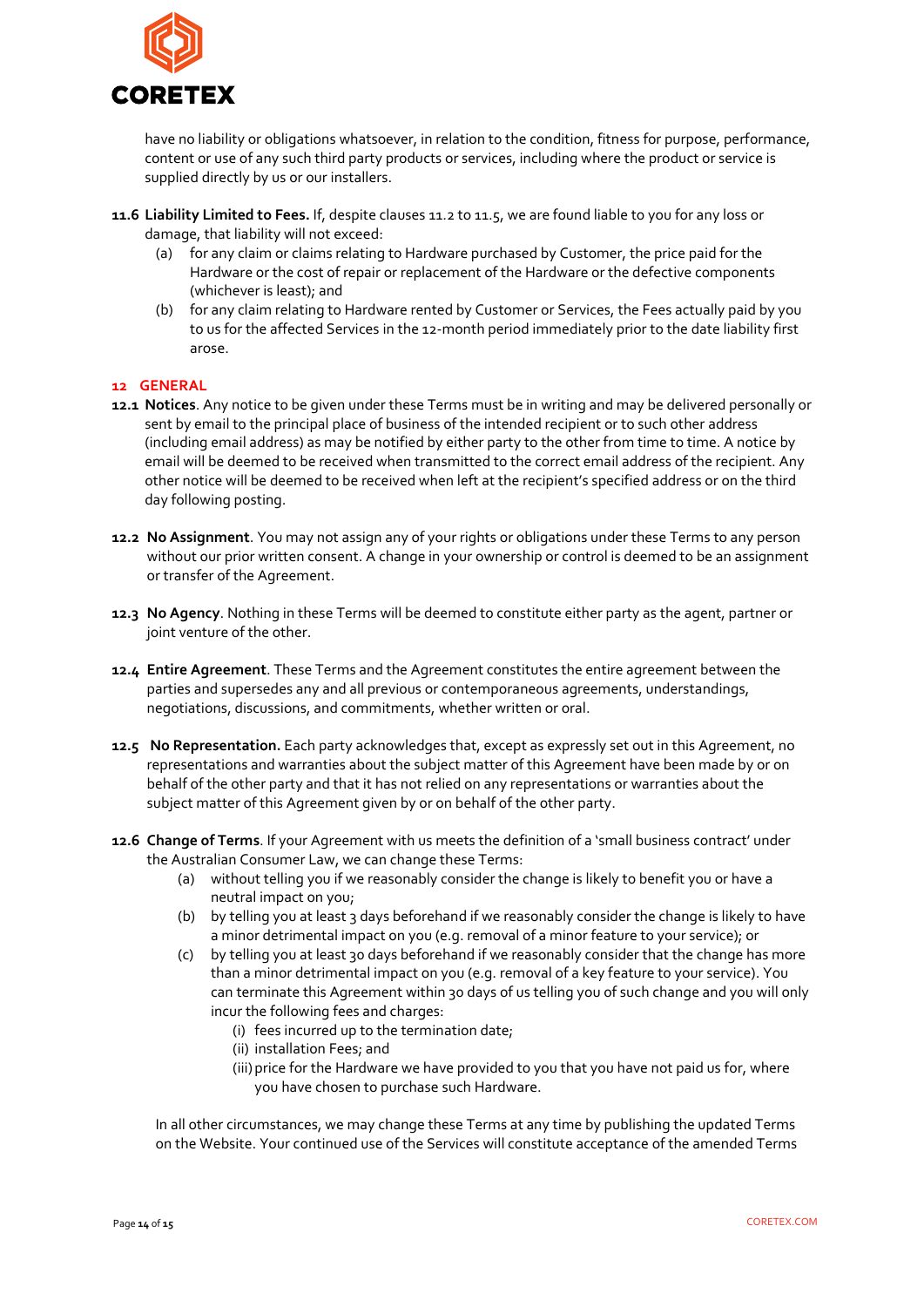

have no liability or obligations whatsoever, in relation to the condition, fitness for purpose, performance, content or use of any such third party products or services, including where the product or service is supplied directly by us or our installers.

- **11.6 Liability Limited to Fees.** If, despite clause[s 11.2](#page-12-2) to [11.5,](#page-12-3) we are found liable to you for any loss or damage, that liability will not exceed:
	- (a) for any claim or claims relating to Hardware purchased by Customer, the price paid for the Hardware or the cost of repair or replacement of the Hardware or the defective components (whichever is least); and
	- (b) for any claim relating to Hardware rented by Customer or Services, the Fees actually paid by you to us for the affected Services in the 12-month period immediately prior to the date liability first arose.

### **12 GENERAL**

- **12.1 Notices**. Any notice to be given under these Terms must be in writing and may be delivered personally or sent by email to the principal place of business of the intended recipient or to such other address (including email address) as may be notified by either party to the other from time to time. A notice by email will be deemed to be received when transmitted to the correct email address of the recipient. Any other notice will be deemed to be received when left at the recipient's specified address or on the third day following posting.
- **12.2 No Assignment**. You may not assign any of your rights or obligations under these Terms to any person without our prior written consent. A change in your ownership or control is deemed to be an assignment or transfer of the Agreement.
- **12.3 No Agency**. Nothing in these Terms will be deemed to constitute either party as the agent, partner or joint venture of the other.
- **12.4 Entire Agreement**. These Terms and the Agreement constitutes the entire agreement between the parties and supersedes any and all previous or contemporaneous agreements, understandings, negotiations, discussions, and commitments, whether written or oral.
- **12.5 No Representation.** Each party acknowledges that, except as expressly set out in this Agreement, no representations and warranties about the subject matter of this Agreement have been made by or on behalf of the other party and that it has not relied on any representations or warranties about the subject matter of this Agreement given by or on behalf of the other party.
- <span id="page-13-0"></span>**12.6 Change of Terms**. If your Agreement with us meets the definition of a 'small business contract' under the Australian Consumer Law, we can change these Terms:
	- (a) without telling you if we reasonably consider the change is likely to benefit you or have a neutral impact on you;
	- (b) by telling you at least 3 days beforehand if we reasonably consider the change is likely to have a minor detrimental impact on you (e.g. removal of a minor feature to your service); or
	- (c) by telling you at least 30 days beforehand if we reasonably consider that the change has more than a minor detrimental impact on you (e.g. removal of a key feature to your service). You can terminate this Agreement within 30 days of us telling you of such change and you will only incur the following fees and charges:
		- (i) fees incurred up to the termination date;
		- (ii) installation Fees; and
		- (iii) price for the Hardware we have provided to you that you have not paid us for, where you have chosen to purchase such Hardware.

In all other circumstances, we may change these Terms at any time by publishing the updated Terms on the Website. Your continued use of the Services will constitute acceptance of the amended Terms